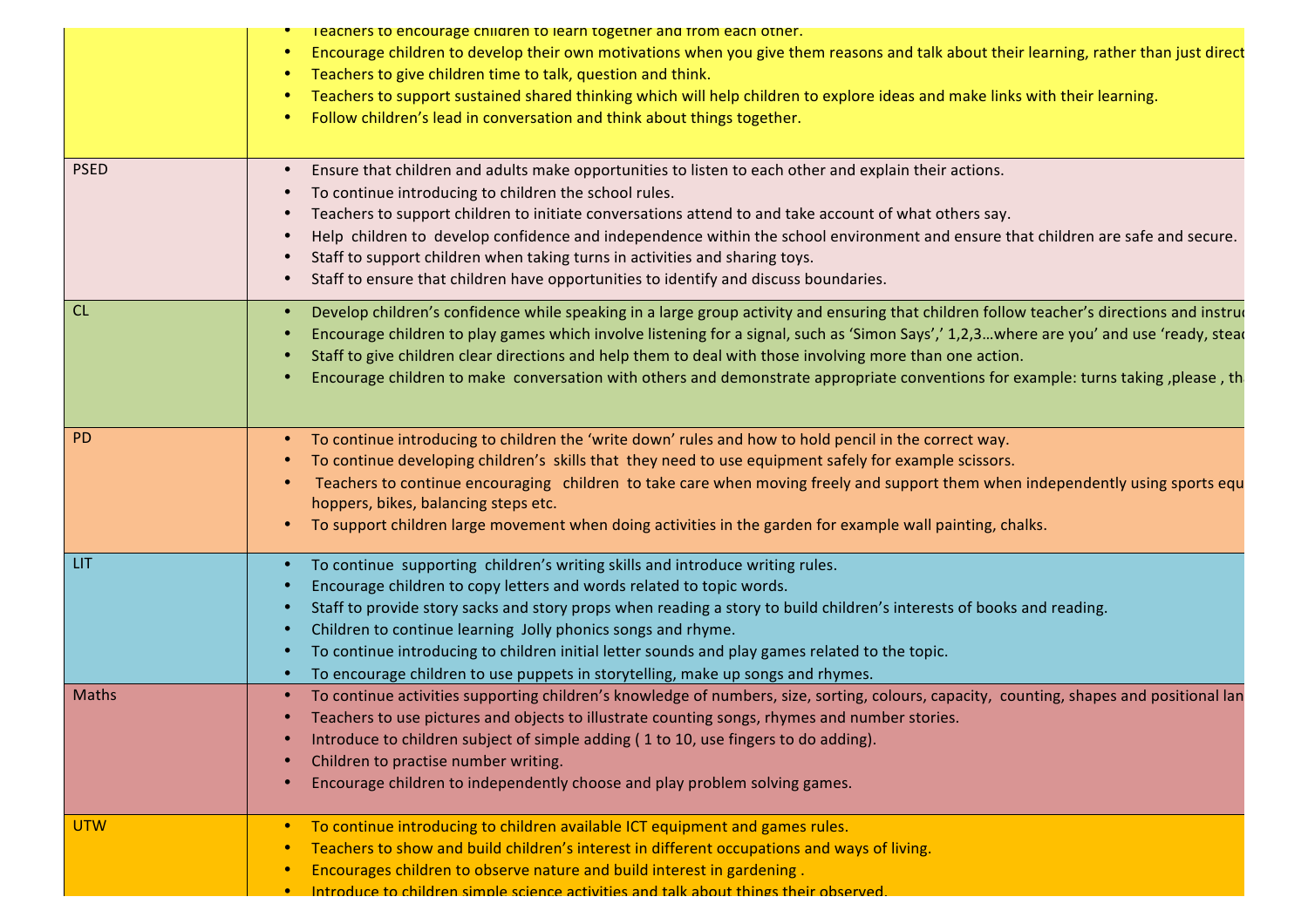|            | Teachers to encourage children to learn together and from each other.<br>Encourage children to develop their own motivations when you give them reasons and talk about their learning, rather than just direct<br>Teachers to give children time to talk, question and think.<br>Teachers to support sustained shared thinking which will help children to explore ideas and make links with their learning.<br>Follow children's lead in conversation and think about things together.<br>$\bullet$                                                                               |
|------------|------------------------------------------------------------------------------------------------------------------------------------------------------------------------------------------------------------------------------------------------------------------------------------------------------------------------------------------------------------------------------------------------------------------------------------------------------------------------------------------------------------------------------------------------------------------------------------|
| PSED       | Ensure that children and adults make opportunities to listen to each other and explain their actions.<br>To continue introducing to children the school rules.<br>Teachers to support children to initiate conversations attend to and take account of what others say.<br>Help children to develop confidence and independence within the school environment and ensure that children are safe and secure.<br>Staff to support children when taking turns in activities and sharing toys.<br>Staff to ensure that children have opportunities to identify and discuss boundaries. |
| CL         | Develop children's confidence while speaking in a large group activity and ensuring that children follow teacher's directions and instrue<br>Encourage children to play games which involve listening for a signal, such as 'Simon Says',' 1,2,3where are you' and use 'ready, stead<br>Staff to give children clear directions and help them to deal with those involving more than one action.<br>Encourage children to make conversation with others and demonstrate appropriate conventions for example: turns taking, please, th                                              |
| PD         | To continue introducing to children the 'write down' rules and how to hold pencil in the correct way.<br>To continue developing children's skills that they need to use equipment safely for example scissors.<br>Teachers to continue encouraging children to take care when moving freely and support them when independently using sports equ<br>hoppers, bikes, balancing steps etc.<br>To support children large movement when doing activities in the garden for example wall painting, chalks.                                                                              |
| LIT.       | To continue supporting children's writing skills and introduce writing rules.<br>Encourage children to copy letters and words related to topic words.<br>Staff to provide story sacks and story props when reading a story to build children's interests of books and reading.<br>Children to continue learning Jolly phonics songs and rhyme.<br>To continue introducing to children initial letter sounds and play games related to the topic.<br>To encourage children to use puppets in storytelling, make up songs and rhymes.                                                |
| Maths      | • To continue activities supporting children's knowledge of numbers, size, sorting, colours, capacity, counting, shapes and positional lan<br>Teachers to use pictures and objects to illustrate counting songs, rhymes and number stories.<br>Introduce to children subject of simple adding (1 to 10, use fingers to do adding).<br>Children to practise number writing.<br>Encourage children to independently choose and play problem solving games.                                                                                                                           |
| <b>UTW</b> | • To continue introducing to children available ICT equipment and games rules.<br>Teachers to show and build children's interest in different occupations and ways of living.<br>$\bullet$<br>Encourages children to observe nature and build interest in gardening.<br>$\bullet$<br>. Introduce to children simple science activities and talk about things their observed.                                                                                                                                                                                                       |